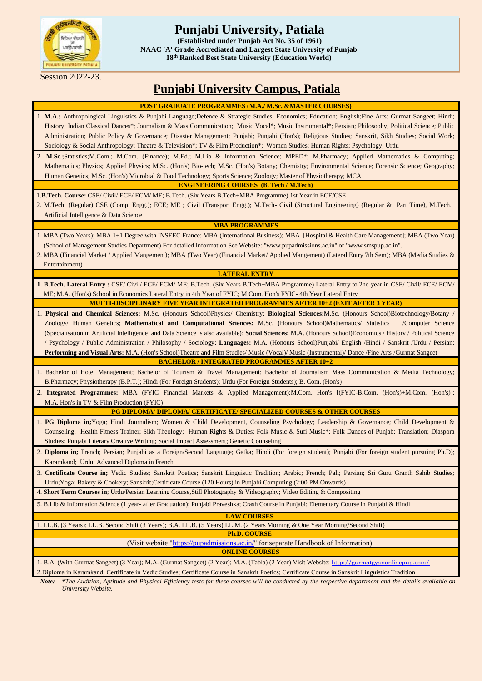

## **Punjabi University, Patiala**

**Grade Accrediated and Largest State Univ (Established under Punjab Act No. 35 of 1961) NAAC 'A' Grade Accrediated and Largest State University of Punjab 18th Ranked Best State University (Education World)**

Session 2022-23.

# **Punjabi University Campus, Patiala**

| <b>POST GRADUATE PROGRAMMES (M.A./ M.Sc. &amp;MASTER COURSES)</b>                                                                                                                                                                                                                                                                                                                                                                                                                                                                                                                                                                                                                                                                                                |  |  |  |  |  |  |
|------------------------------------------------------------------------------------------------------------------------------------------------------------------------------------------------------------------------------------------------------------------------------------------------------------------------------------------------------------------------------------------------------------------------------------------------------------------------------------------------------------------------------------------------------------------------------------------------------------------------------------------------------------------------------------------------------------------------------------------------------------------|--|--|--|--|--|--|
| 1. M.A.; Anthropological Linguistics & Punjabi Language;Defence & Strategic Studies; Economics; Education; English;Fine Arts; Gurmat Sangeet; Hindi;<br>History; Indian Classical Dances*; Journalism & Mass Communication; Music Vocal*; Music Instrumental*; Persian; Philosophy; Political Science; Public<br>Administration; Public Policy & Governance; Disaster Management; Punjabi; Punjabi (Hon's); Religious Studies; Sanskrit, Sikh Studies; Social Work;<br>Sociology & Social Anthropology; Theatre & Television*; TV & Film Production*; Women Studies; Human Rights; Psychology; Urdu                                                                                                                                                              |  |  |  |  |  |  |
| 2. M.Sc.;Statistics;M.Com.; M.Com. (Finance); M.Ed.; M.Lib & Information Science; MPED*; M.Pharmacy; Applied Mathematics & Computing;<br>Mathematics; Physics; Applied Physics; M.Sc. (Hon's) Bio-tech; M.Sc. (Hon's) Botany; Chemistry; Environmental Science; Forensic Science; Geography;<br>Human Genetics; M.Sc. (Hon's) Microbial & Food Technology; Sports Science; Zoology; Master of Physiotherapy; MCA                                                                                                                                                                                                                                                                                                                                                 |  |  |  |  |  |  |
| <b>ENGINEERING COURSES (B. Tech / M.Tech)</b>                                                                                                                                                                                                                                                                                                                                                                                                                                                                                                                                                                                                                                                                                                                    |  |  |  |  |  |  |
| 1.B.Tech. Course: CSE/ Civil/ ECE/ ECM/ ME; B.Tech. (Six Years B.Tech+MBA Programme) 1st Year in ECE/CSE<br>2. M.Tech. (Regular) CSE (Comp. Engg.); ECE; ME ; Civil (Transport Engg.); M.Tech- Civil (Structural Engineering) (Regular & Part Time), M.Tech.<br>Artificial Intelligence & Data Science                                                                                                                                                                                                                                                                                                                                                                                                                                                           |  |  |  |  |  |  |
| <b>MBA PROGRAMMES</b>                                                                                                                                                                                                                                                                                                                                                                                                                                                                                                                                                                                                                                                                                                                                            |  |  |  |  |  |  |
| 1. MBA (Two Years); MBA 1+1 Degree with INSEEC France; MBA (International Business); MBA [Hospital & Health Care Management]; MBA (Two Year)<br>(School of Management Studies Department) For detailed Information See Website: "www.pupadmissions.ac.in" or "www.smspup.ac.in".<br>2. MBA (Financial Market / Applied Mangement); MBA (Two Year) (Financial Market/ Applied Mangement) (Lateral Entry 7th Sem); MBA (Media Studies &<br>Entertainment)                                                                                                                                                                                                                                                                                                          |  |  |  |  |  |  |
| <b>LATERAL ENTRY</b>                                                                                                                                                                                                                                                                                                                                                                                                                                                                                                                                                                                                                                                                                                                                             |  |  |  |  |  |  |
| 1. B.Tech. Lateral Entry : CSE/ Civil/ ECE/ ECM/ ME; B.Tech. (Six Years B.Tech+MBA Programme) Lateral Entry to 2nd year in CSE/ Civil/ ECE/ ECM/<br>ME; M.A. (Hon's) School in Economics Lateral Entry in 4th Year of FYIC; M.Com. Hon's FYIC-4th Year Lateral Entry                                                                                                                                                                                                                                                                                                                                                                                                                                                                                             |  |  |  |  |  |  |
| <b>MULTI-DISCIPLINARY FIVE YEAR INTEGRATED PROGRAMMES AFTER 10+2 (EXIT AFTER 3 YEAR)</b>                                                                                                                                                                                                                                                                                                                                                                                                                                                                                                                                                                                                                                                                         |  |  |  |  |  |  |
| 1. Physical and Chemical Sciences: M.Sc. (Honours School)Physics/ Chemistry; Biological Sciences: M.Sc. (Honours School)Biotechnology/Botany /<br>Zoology/ Human Genetics; Mathematical and Computational Sciences: M.Sc. (Honours School)Mathematics/ Statistics<br>/Computer Science<br>(Specialisation in Artificial Intelligence and Data Science is also available); Social Sciences: M.A. (Honours School) Economics / History / Political Science<br>/ Psychology / Public Administration / Philosophy / Sociology; Languages: M.A. (Honours School)Punjabi/ English /Hindi / Sanskrit /Urdu / Persian;<br>Performing and Visual Arts: M.A. (Hon's School)Theatre and Film Studies/ Music (Vocal)/ Music (Instrumental)/ Dance /Fine Arts /Gurmat Sangeet |  |  |  |  |  |  |
| <b>BACHELOR / INTEGRATED PROGRAMMES AFTER 10+2</b>                                                                                                                                                                                                                                                                                                                                                                                                                                                                                                                                                                                                                                                                                                               |  |  |  |  |  |  |
| 1. Bachelor of Hotel Management; Bachelor of Tourism & Travel Management; Bachelor of Journalism Mass Communication & Media Technology;<br>B.Pharmacy; Physiotherapy (B.P.T.); Hindi (For Foreign Students); Urdu (For Foreign Students); B. Com. (Hon's)                                                                                                                                                                                                                                                                                                                                                                                                                                                                                                        |  |  |  |  |  |  |
| 2. Integrated Programmes: MBA (FYIC Financial Markets & Applied Management); M.Com. Hon's [(FYIC-B.Com. (Hon's)+M.Com. (Hon's)];<br>M.A. Hon's in TV & Film Production (FYIC)                                                                                                                                                                                                                                                                                                                                                                                                                                                                                                                                                                                    |  |  |  |  |  |  |
| <b>PG DIPLOMA/ DIPLOMA/ CERTIFICATE/ SPECIALIZED COURSES &amp; OTHER COURSES</b>                                                                                                                                                                                                                                                                                                                                                                                                                                                                                                                                                                                                                                                                                 |  |  |  |  |  |  |
| 1. PG Diploma in; Yoga; Hindi Journalism; Women & Child Development, Counseling Psychology; Leadership & Governance; Child Development &<br>Counseling; Health Fitness Trainer; Sikh Theology; Human Rights & Duties; Folk Music & Sufi Music*; Folk Dances of Punjab; Translation; Diaspora<br>Studies; Punjabi Literary Creative Writing; Social Impact Assessment; Genetic Counseling                                                                                                                                                                                                                                                                                                                                                                         |  |  |  |  |  |  |
| 2. Diploma in; French; Persian; Punjabi as a Foreign/Second Language; Gatka; Hindi (For foreign student); Punjabi (For foreign student pursuing Ph.D);<br>Karamkand: Urdu: Advanced Diploma in French                                                                                                                                                                                                                                                                                                                                                                                                                                                                                                                                                            |  |  |  |  |  |  |
| 3. Certificate Course in; Vedic Studies; Sanskrit Poetics; Sanskrit Linguistic Tradition; Arabic; French; Pali; Persian; Sri Guru Granth Sahib Studies;<br>Urdu; Yoga; Bakery & Cookery; Sanskrit; Certificate Course (120 Hours) in Punjabi Computing (2:00 PM Onwards)                                                                                                                                                                                                                                                                                                                                                                                                                                                                                         |  |  |  |  |  |  |
| 4. Short Term Courses in; Urdu/Persian Learning Course, Still Photography & Videography; Video Editing & Compositing                                                                                                                                                                                                                                                                                                                                                                                                                                                                                                                                                                                                                                             |  |  |  |  |  |  |
| 5. B.Lib & Information Science (1 year- after Graduation); Punjabi Praveshka; Crash Course in Punjabi; Elementary Course in Punjabi & Hindi                                                                                                                                                                                                                                                                                                                                                                                                                                                                                                                                                                                                                      |  |  |  |  |  |  |
| <b>LAW COURSES</b>                                                                                                                                                                                                                                                                                                                                                                                                                                                                                                                                                                                                                                                                                                                                               |  |  |  |  |  |  |
| 1. LL.B. (3 Years); LL.B. Second Shift (3 Years); B.A. LL.B. (5 Years); LL.M. (2 Years Morning & One Year Morning/Second Shift)<br><b>Ph.D. COURSE</b>                                                                                                                                                                                                                                                                                                                                                                                                                                                                                                                                                                                                           |  |  |  |  |  |  |
| (Visit website "https://pupadmissions.ac.in/" for separate Handbook of Information)                                                                                                                                                                                                                                                                                                                                                                                                                                                                                                                                                                                                                                                                              |  |  |  |  |  |  |
| <b>ONLINE COURSES</b>                                                                                                                                                                                                                                                                                                                                                                                                                                                                                                                                                                                                                                                                                                                                            |  |  |  |  |  |  |
| 1. B.A. (With Gurmat Sangeet) (3 Year); M.A. (Gurmat Sangeet) (2 Year); M.A. (Tabla) (2 Year) Visit Website: http://gurmatgyanonlinepup.com/                                                                                                                                                                                                                                                                                                                                                                                                                                                                                                                                                                                                                     |  |  |  |  |  |  |
| 2. Diploma in Karamkand; Certificate in Vedic Studies; Certificate Course in Sanskrit Poetics; Certificate Course in Sanskrit Linguistics Tradition                                                                                                                                                                                                                                                                                                                                                                                                                                                                                                                                                                                                              |  |  |  |  |  |  |

*Note:* \**The Audition, Aptitude and Physical Efficiency tests for these courses will be conducted by the respective department and the details available on University Website.*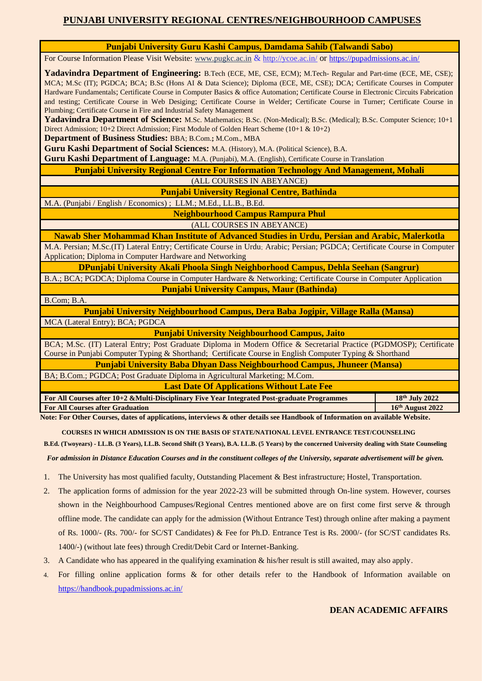## **PUNJABI UNIVERSITY REGIONAL CENTRES/NEIGHBOURHOOD CAMPUSES**

#### **Punjabi University Guru Kashi Campus, Damdama Sahib (Talwandi Sabo)**

For Course Information Please Visit Website: [www.pugkc.ac.in](http://www.pugkc.ac.in/) & <http://ycoe.ac.in/> or <https://pupadmissions.ac.in/>

**Yadavindra Department of Engineering:** B.Tech (ECE, ME, CSE, ECM); M.Tech- Regular and Part-time (ECE, ME, CSE); MCA; M.Sc (IT); PGDCA; BCA; B.Sc (Hons AI & Data Science); Diploma (ECE, ME, CSE); DCA; Certificate Courses in Computer Hardware Fundamentals; Certificate Course in Computer Basics & office Automation; Certificate Course in Electronic Circuits Fabrication and testing; Certificate Course in Web Desiging; Certificate Course in Welder; Certificate Course in Turner; Certificate Course in Plumbing; Certificate Course in Fire and Industrial Safety Management

**Yadavindra Department of Science:** M.Sc. Mathematics; B.Sc. (Non-Medical); B.Sc. (Medical); B.Sc. Computer Science; 10+1 Direct Admission; 10+2 Direct Admission; First Module of Golden Heart Scheme (10+1 & 10+2)

**Department of Business Studies:** BBA; B.Com.**;** M.Com., MBA

**Guru Kashi Department of Social Sciences:** M.A. (History), M.A. (Political Science), B.A.

**Guru Kashi Department of Language:** M.A. (Punjabi), M.A. (English), Certificate Course in Translation

#### **Punjabi University Regional Centre For Information Technology And Management, Mohali**

(ALL COURSES IN ABEYANCE)

**Punjabi University Regional Centre, Bathinda**

M.A. (Punjabi / English / Economics) ; LLM.; M.Ed., LL.B., B.Ed.

**Neighbourhood Campus Rampura Phul**

(ALL COURSES IN ABEYANCE)

**Nawab Sher Mohammad Khan Institute of Advanced Studies in Urdu, Persian and Arabic, Malerkotla**

M.A. Persian; M.Sc.(IT) Lateral Entry; Certificate Course in Urdu; Arabic; Persian; PGDCA; Certificate Course in Computer Application; Diploma in Computer Hardware and Networking

**DPunjabi University Akali Phoola Singh Neighborhood Campus, Dehla Seehan (Sangrur)**

B.A.; BCA; PGDCA; Diploma Course in Computer Hardware & Networking; Certificate Course in Computer Application **Punjabi University Campus, Maur (Bathinda)**

B.Com; B.A.

**Punjabi University Neighbourhood Campus, Dera Baba Jogipir, Village Ralla (Mansa)** MCA (Lateral Entry); BCA; PGDCA

**Punjabi University Neighbourhood Campus, Jaito**

BCA; M.Sc. (IT) Lateral Entry; Post Graduate Diploma in Modern Office & Secretarial Practice (PGDMOSP); Certificate Course in Punjabi Computer Typing & Shorthand; Certificate Course in English Computer Typing & Shorthand

**Punjabi University Baba Dhyan Dass Neighbourhood Campus, Jhuneer (Mansa)**

BA; B.Com.; PGDCA; Post Graduate Diploma in Agricultural Marketing; M.Com.

**Last Date Of Applications Without Late Fee**

**For All Courses after 10+2 &Multi-Disciplinary Five Year Integrated Post-graduate Programmes 18th July 2022 For All Courses after Graduation 16<sup>th</sup> August 2022** 

**Note: For Other Courses, dates of applications, interviews & other details see Handbook of Information on available Website.**

#### **COURSES IN WHICH ADMISSION IS ON THE BASIS OF STATE/NATIONAL LEVEL ENTRANCE TEST/COUNSELING**

**B.Ed. (Twoyears) - LL.B. (3 Years), LL.B. Second Shift (3 Years), B.A. LL.B. (5 Years) by the concerned University dealing with State Counseling**

*For admission in Distance Education Courses and in the constituent colleges of the University, separate advertisement will be given.*

- 1. The University has most qualified faculty, Outstanding Placement & Best infrastructure; Hostel, Transportation.
- 2. The application forms of admission for the year 2022-23 will be submitted through On-line system. However, courses shown in the Neighbourhood Campuses/Regional Centres mentioned above are on first come first serve & through offline mode. The candidate can apply for the admission (Without Entrance Test) through online after making a payment of Rs. 1000/- (Rs. 700/- for SC/ST Candidates) & Fee for Ph.D. Entrance Test is Rs. 2000/- (for SC/ST candidates Rs. 1400/-) (without late fees) through Credit/Debit Card or Internet-Banking.
- 3. A Candidate who has appeared in the qualifying examination & his/her result is still awaited, may also apply.
- 4. For filling online application forms & for other details refer to the Handbook of Information available on <https://handbook.pupadmissions.ac.in/>

### **DEAN ACADEMIC AFFAIRS**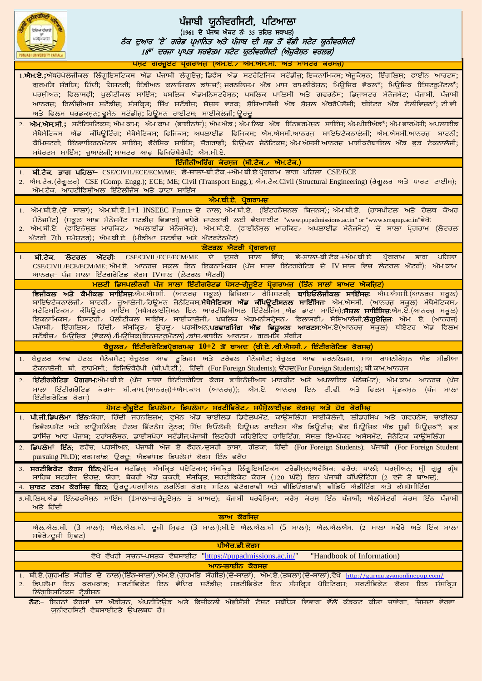| ਵਿਦਿਆ ਵੀਚਾਰੀ           | ਪੰਜਾਬੀ ਯੂਨੀਵਰਸਿਟੀ, ਪਟਿਆਲਾ<br>$(1961$ ਦੇ ਪੰਜਾਬ ਐਕਟ ਨੰ: 35 ਤਹਿਤ ਸਥਾਪਤ)<br>ਨੈਕ ਦੁਆਰ 'ਏ' ਗਰੇਡ ਪਮਾਨਿਤ ਅਤੇ ਪੰਜਾਬ ਦੀ ਸਭ ਤੋਂ ਵੱਡੀ ਸਟੇਟ ਯੂਨੀਵਰਸਿਟੀ<br>18 <sup>ਵਾਂ</sup> ਦਰਜਾ ਪਾਪਤ ਸਰਵੋਤਮ ਸਟੇਟ ਯੂਨੀਵਰਸਿਟੀ (ਐਜੂਕੇਸ਼ਨ ਵਰਲਡ)                                                                                                                                                                                                                                                                                                                                                                                                                                                                                        |
|------------------------|--------------------------------------------------------------------------------------------------------------------------------------------------------------------------------------------------------------------------------------------------------------------------------------------------------------------------------------------------------------------------------------------------------------------------------------------------------------------------------------------------------------------------------------------------------------------------------------------------------------------------------------------------------------------------------------------------------|
|                        | ਪੋਸ਼ਟ ਗਰੇਜੂਏਟ ਪ੍ਰੋਗਰਾਮਜ਼ (ਐਮ.ਏ. ਐਮ.ਐਸ.ਸੀ. ਅਤੇ ਮਾਸਟਰ ਕੋਰਸਜ਼)                                                                                                                                                                                                                                                                                                                                                                                                                                                                                                                                                                                                                                            |
|                        | 1. <b>ਐਮ.ਏ.;</b> ਐਂਥਰੋਪੋਲੋਜੀਕਲ ਲਿੰਗੁਇਸਟਿਕਸ ਐਂਡ ਪੰਜਾਬੀ ਲੈਂਗੁਏਜ਼; ਡਿਫੈਂਸ ਐਂਡ ਸਟਰੈਟਿਜਿਕ ਸਟੱਡੀਜ਼; ਇਕਨਾਮਿਕਸ; ਐਜੂਕੇਸ਼ਨ; ਇੰਗਲਿਸ਼; ਫਾਈਨ ਆਰਟਸ;<br>ਗੁਰਮਤਿ ਸੰਗੀਤ; ਹਿੰਦੀ; ਹਿਸਟਰੀ; ਇੰਡੀਅਨ ਕਲਾਸਿਕਲ ਡਾਂਸਜ*਼;ਜਰਨਲਿਜਮ ਐਂਡ ਮਾਸ ਕਾਮਨੀਕੇਸ਼ਨ; ਮਿਊਜਿਕ ਵੋਕਲ*; ਮਿਊਜਿਕ ਇੰਸਟਰੁਮੈਂਟਲ*;<br>ਪਰਸ਼ੀਅਨ; ਫਿਲਾਸਫ਼ੀ; ਪੁਲੀਟੀਕਲ ਸਾਇੰਸ; ਪਬਲਿਕ ਐਡਮਨਿਸਟਰੇਸ਼ਨ; ਪਬਲਿਕ ਪਾਲਿਸੀ ਅਤੇ ਗਵਰਨੈਂਸ; ਡਿਜ਼ਾਸਟਰ ਮੈਨੇਜਮੈਂਟ; ਪੰਜਾਬੀ, ਪੰਜਾਬੀ<br>ਆਨਰਜ਼; ਰਿਲੀਜ਼ੀਅਸ ਸਟੱਡੀਜ਼; ਸੰਸਕ੍ਰਿਤ; ਸਿੱਖ ਸਟੱਡੀਜ਼; ਸ਼ੋਸਲ ਵਰਕ; ਸ਼ੋਸ਼ਿਆਲੋਜੀ ਐਂਡ ਸ਼ੋਸ਼ਲ ਐਂਥਰੋਪੋਲੋਜੀ; ਥੀਏਟਰ ਐਂਡ ਟੈਲੀਵਿਜ਼ਨ*;ਟੀ.ਵੀ.<br>ਅਤੇ ਫਿਲਮ ਪਰਡਕਸ਼ਨ; ਵੁਮੈਨ ਸਟੱਡੀਜ਼; ਹਿਊਮਨ ਰਾਈਟਸ; ਸਾਈਕੋਲੋਜੀ; ਉਰਦੂ                                                                                                                    |
|                        | 2. ਐਮ.ਐਸ.ਸੀ.; ਸਟੈਟਿਸਟਿਕਸ; ਐਮ.ਕਾਮ; ਐਮ.ਕਾਮ (ਫਾਈਨਾਂਸ); ਐਮ.ਐਡ.; ਐਮ.ਲਿਬ ਐਂਡ ਇੰਨਫਰਮੇਸ਼ਨ ਸਾਇੰਸ; ਐਮਪੀਈਐਡ*; ਐਮ.ਫਾਰਮੇਸੀ; ਅਪਲਾਈਡ<br>ਮੈਥੇਮੈਟਿਕਸ ਐਂਡ ਕੰਪਿਊਟਿੰਗ; ਮੈਥੇਮੈਟਿਕਸ; ਫਿਜਿਕਸ; ਅਪਲਾਈਡ ਫਿਜਿਕਸ; ਐਮ.ਐਸਸੀ.ਆਨਰਜ਼ ਬਾਇਓਟੈਕਨਾਲੋਜੀ; ਐਮ.ਐਸਸੀ.ਆਨਰਜ਼ ਬਾਟਨੀ;<br>ਕੈਮਿਸਟਰੀ; ਇੰਨਵਾਇਰਨਮੈਂਟਲ ਸਾਇੰਸ; ਫੌਰੈਂਸਿਕ ਸਾਇੰਸ; ਜੋਗਰਾਫ਼ੀ; ਹਿਊਮਨ ਜੈਨੇਟਿਕਸ;ਐਮ.ਐਸਸੀ.ਆਨਰਜ਼ ਮਾਈਕਰੋਬਾਇਲ ਐਂਡ ਫੂਡ ਟੈਕਨਾਲੋਜੀ;<br>ਸਪੋਰਟਸ ਸਾਇੰਸ; ਜੁਆਲੋਜੀ; ਮਾਸਟਰ ਆਫ਼ ਫਿਜਿਓਥੈਰੈਪੀ; ਐਮ.ਸੀ.ਏ.                                                                                                                                                                                                                                                                               |
|                        | ਇੰਜੀਨੀਅਰਿੰਗ ਕੋਰਸਜ (ਬੀ.ਟੈਕ.∠ ਐਮ.ਟੈਕ.)                                                                                                                                                                                                                                                                                                                                                                                                                                                                                                                                                                                                                                                                   |
|                        | 1. ਬੀ.ਟੈਕ. ਭਾਗ ਪਹਿਲਾ– CSE/CIVIL/ECE/ECM/ME; ਛੇ-ਸਾਲਾ–ਬੀ.ਟੈਕ.+ਐਮ.ਬੀ.ਏ.ਪ੍ਰੋਗਰਾਮ ਭਾਗ ਪਹਿਲਾ CSE/ECE<br>2. ਐਮ.ਟੈਕ. (ਰੈਗੂਲਰ) CSE (Comp. Engg.); ECE; ME; Civil (Transport Engg.); ਐਮ.ਟੈਕ.Civil (Structural Engineering) (ਰੈਗੂਲਰ ਅਤੇ ਪਾਰਟ ਟਾਈਮ);<br>ਐਮ.ਟੈਕ. ਆਰਟੀਫਿਸੀਅਲ ਇੰਟੇਲੀਜੈਂਸ ਅਤੇ ਡਾਟਾ ਸਾਇੰਸ<br>ਐਮ.ਬੀ.ਏ. ਪੋਗਰਾਮਜ਼                                                                                                                                                                                                                                                                                                                                                                                          |
|                        |                                                                                                                                                                                                                                                                                                                                                                                                                                                                                                                                                                                                                                                                                                        |
|                        | 1. ਐਮ.ਬੀ.ਏ.(ਦੋ ਸਾਲਾ); ਐਮ.ਬੀ.ਏ.1+1 INSEEC France ਦੇ ਨਾਲ; ਐਮ.ਬੀ.ਏ. (ਇੰਟਰਨੇਸ਼ਨਲ ਬਿਜਨਸ); ਐਮ.ਬੀ.ਏ. (ਹਾਸਪੀਟਲ ਅਤੇ ਹੇਲਥ ਕੇਅਰ<br>ਮੈਨੇਜਮੈਂਟ) (ਸਕੂਲ ਆਫ ਮੈਨੇਜਮੈਂਟ ਸਟਡੀਜ਼ ਵਿਭਾਗ) ਵਧੇਰੇ ਜਾਣਕਾਰੀ ਲਈ ਵੈਬਸਾਈਟ "www.pupadmissions.ac.in" or "www.smspup.ac.in"ਵੇਖੋ:<br>2. ਐਮ.ਬੀ.ਏ. (ਫਾਇਨੈਂਸਲ ਮਾਰਕਿਟ <sub>⁄</sub> ਅਪਲਾਈਡ ਮੈਨੇਜਮੈਟ); ਐਮ.ਬੀ.ਏ. (ਫਾਈਨੈਂਸਲ ਮਾਰਕਿਟ <sub>⁄</sub> ਅਪਲਾਈਡ ਮੈਨੇਜਮੈਟ) ਦੋ ਸਾਲਾ ਪ੍ਰੋਗਰਾਮ (ਲੇਟਰਲ<br>ਐਂਟਰੀ 7th ਸਮੈਸਟਰ); ਐਮ.ਬੀ.ਏ. (ਮੀਡੀਆ ਸਟਡੀਜ਼ ਅਤੇ ਐਂਟਰਟੇਨਮੈਂਟ)                                                                                                                                                                                                                                         |
|                        | ਲੇਟਰਲ ਐਟਰੀ ਪ੍ਰੋਗਰਾਮਜ਼                                                                                                                                                                                                                                                                                                                                                                                                                                                                                                                                                                                                                                                                                  |
|                        | <u>1. <b>ਬੀ.ਟੈਕ. ਲੇਟਰਲ ਐਂਟਰੀ</b>: CSE/CIVIL/ECE/ECM/ME ਦੇ ਦੂਸਰੇ ਸਾਲ ਵਿੱਚ; ਛੇ-ਸਾਲਾ-ਬੀ.ਟੈਕ.+ਐਮ.ਬੀ.ਏ. ਪ੍ਰੋਗਰਾਮ ਭਾਗ ਪਹਿਲਾ</u><br>CSE/CIVIL/ECE/ECM/ME; ਐਮ.ਏ. ਆਨਰਜ਼ ਸਕੂਲ ਇਨ ਇਕਨਾਮਿਕਸ (ਪੰਜ ਸਾਲਾ ਇੰਟਗਰੇਟਿਡ ਦੇ IV ਸਾਲ ਵਿਚ ਲੇਟਰਲ ਐਂਟਰੀ); ਐਮ.ਕਾਮ<br>ਆਨਰਜ਼- ਪੰਜ ਸਾਲਾ ਇੰਟਗਰੇਟਿਡ ਕੋਰਸ IVਸਾਲ (ਲੇਟਰਲ ਐਂਟਰੀ)                                                                                                                                                                                                                                                                                                                                                                                                           |
|                        | ਮਲਟੀ ਡਿਸਪਲੀਨਰੀ ਪੰਜ ਸਾਲਾ ਇੰਟੀਗਰੇਟਡ ਪੋਸਟ-ਗ੍ਰੈਜੂਏਟ ਪ੍ਰੋਗਰਾਮਜ (ਤਿੰਨ ਸਾਲਾਂ ਬਾਅਦ ਐਕਜਿਟ)                                                                                                                                                                                                                                                                                                                                                                                                                                                                                                                                                                                                                      |
|                        | ਵਿਜੀਕਲ ਅਤੇ ਕੈਮੀਕਲ ਸਾਇੰਸਜ਼:ਐਮ.ਐਸਸੀ. (ਆਨਰਜ਼ ਸਕੂਲ) ਫਿਜਿਕਸ ਕੈਮਿਸਟਰੀ; ਬਾਇਓਲੋਜੀਕਲ ਸਾਇੰਸਜ਼: ਐਮ.ਐਸਸੀ.(ਆਨਰਜ਼ ਸਕੂਲ)<br>ਬਾਇਓਟੈਕਨਾਲੋਜੀ∠ ਬਾਟਨੀ∠ ਜ਼ੁਆਲੋਜੀ∠ਹਿਊਮਨ ਜੇਨੈਟਿਕਸ; <b>ਮੈਥੇਮੈਟਿਕਸ ਐਂਡ ਕੰਪਿਊਟੀਸ਼ਨਲ ਸਾਇੰਸਿਜ</b> : ਐਮ.ਐਸਸੀ. (ਆਨਰਜ਼ ਸਕੂਲ) ਮੈਥੇਮੈਟਿਕਸ∠<br>ਸਟੈਟਿਸਟਿਕਸ∠ ਕੰਪਿਊਟਰ ਸਾਇੰਸ (ਸਪੈਸ਼ਲਾਈਜ਼ੇਸ਼ਨ ਇਨ ਆਰਟੀਫਿਸ਼ੀਅਲ ਇੰਟੈਲੀਜੇਸ ਐਂਡ ਡਾਟਾ ਸਾਇੰਸ); <b>ਸੋਸ਼ਲ ਸਾਇੰਸਿਜ਼</b> :ਐਮ.ਏ.(ਆਨਰਜ ਸਕੂਲ)<br>ਇਕਨਾਮਿਕਸ ਹਿਸਟਰੀ ਪੋਲੀਟੀਕਲ ਸਾਇੰਸ ਸਾਈਕਾਲੋਜੀ ਪਬਲਿਕ ਐਡਮਨੀਸਟ੍ਰੇਸ਼ਨ ਫਿਲਾਸਫੀ ਸੋਸ਼ਿਆਲੋਜੀ; <b>ਲੈਗੂਏਜ਼ਿਜ</b> ਼ ਐਮ. ਏ. (ਆਨਰਜ਼)<br>ਪੰਜਾਬੀ∠ ਇੰਗਲਿਸ਼∠ ਹਿੰਦੀ∠ ਸੰਸਕ੍ਰਿਤ∠ ਉਰਦੂ∠ ਪਰਸ਼ੀਅਨ; <b>ਪਰਫਾਰਮਿੰਗ ਐਂਡ ਵਿਜ਼ੂਅਲ ਆਰਟਸ</b> :ਐਮ.ਏ(ਆਨਰਜ਼ ਸਕੂਲ) ਥੀਏਟਰ ਐਂਡ ਫਿਲਮ<br>ਸਟੱਡੀਜ਼∕ ਮਿਊਜ਼ਿਕ (ਵੋਕਲ) ∕ਮਿਊਜ਼ਿਕ(ਇਨਸਟਰੂਮੈਂਟਲ) ⁄ਡਾਂਸ ⁄ਫਾਈਨ ਆਰਟਸ ⁄ ਗੂਰਮਤਿ ਸੰਗੀਤ |
|                        | ਬੈਚੂਲਰ / ਇੰਟੀਗਰੇਟਿਡਪ੍ਰੋਗਰਾਮਜ਼ $10+2$ ਤੋਂ ਬਾਅਦ (ਬੀ.ਏ. ⁄ਬੀ.ਐਸਸੀ. / ਇੰਟੀਗਰੇਟਿਡ ਕੋਰਸਜ਼)                                                                                                                                                                                                                                                                                                                                                                                                                                                                                                                                                                                                                    |
|                        | 1. ਬੈਚੂਲਰ ਆਫ ਹੋਟਲ ਮੈਨੇਜਮੈਂਟ; ਬੈਚੂਲਰ ਆਫ ਟੂਰਿਜਮ ਅਤੇ ਟਰੈਵਲ ਮੈਨੇਜਮੈਂਟ; ਬੈਚੂਲਰ ਆਫ ਜਰਨਲਿਜਮ, ਮਾਸ ਕਾਮਨੀਕੇਸ਼ਨ ਐਂਡ ਮੀਡੀਆ<br>ਟੈਕਨਾਲੋਜੀ; ਬੀ. ਫਾਰਮੇਸੀ.; ਫਿਜਿਓਥੈਰੈਪੀ (ਬੀ.ਪੀ.ਟੀ.); ਹਿੰਦੀ (For Foreign Students); ਉਰਦੂ(For Foreign Students); ਬੀ.ਕਾਮ.ਆਨਰਜ                                                                                                                                                                                                                                                                                                                                                                                                                                                              |
| 2.<br>ਇੰਟੀਗਰੇਟਿਡ ਕੋਰਸ) | ੀ <b>ਈਟੀਗਰੇਟਿਡ ਪੋਗਰਾਮ</b> :ਐਮ.ਬੀ.ਏ (ਪੰਜ ਸਾਲਾ ਇੰਟੀਗਰੇਟਿਡ ਕੋਰਸ ਫਾਇਨੈਸ਼ੀਅਲ ਮਾਰਕੀਟ ਅਤੇ ਅਪਲਾਇਡ ਮੈਨੇਜਮੈਟ); ਐਮ.ਕਾਮ. ਆਨਰਜ਼ (ਪੰਜ<br>ਸਾਲਾ ਇੰਟੀਗਰੇਟਿਡ ਕੋਰਸ– ਬੀ.ਕਾਮ.(ਆਨਰਜ਼)+ਐਮ.ਕਾਮ (ਆਨਰਜ਼)); ਐਮ.ਏ. ਆਨਰਜ਼ ਇਨ ਟੀ.ਵੀ. ਅਤੇ ਫਿਲਮ ਪ੍ਰੋਡਕਸ਼ਨ (ਪੰਜ ਸਾਲਾ                                                                                                                                                                                                                                                                                                                                                                                                                                                                    |
|                        | ਪੋਸਟ-ਗ੍ਰੈਜੂਏਟ ਡਿਪਲੋਮਾ∕ ਡਿਪਲੋਮਾ∕ ਸਰਟੀਫਿਕੇਟ∕ ਸਪੈਸ਼ੇਲਾਈਜ਼ਡ ਕੋਰਸਜ਼ ਅਤੇ ਹੋਰ ਕੋਰਸਿਜ਼                                                                                                                                                                                                                                                                                                                                                                                                                                                                                                                                                                                                                         |
|                        | 1. <b>ਪੀ.ਜੀ.ਡਿਪਲੋਮਾ ਇੰਨ</b> :ਯੋਗਾ, ਹਿੰਦੀ ਜਰਨਲਿਜ਼ਮ, ਵੁਮੈਨ ਐਂਡ ਚਾਈਲਡ ਡਿਵੈਲਪਮੈਂਟ, ਕਾਉਂਸਲਿੰਗ ਸਾਈਕੋਲੋਜੀ, ਲੀਡਰਸ਼ਿਪ ਅਤੇ ਗਵਰਨੈਂਸ, ਚਾਈਲਡ<br>ਡਿਵੈਲਪਮੈਂਟ ਅਤੇ ਕਾਉਂਸਲਿੰਗ; ਹੈਲਥ ਫਿੱਟਨੈਸ ਟ੍ਰੇਨਰ; ਸਿੱਖ ਥਿਓਲੋਜੀ; ਹਿਊਮਨ ਰਾਈਟਸ ਐਂਡ ਡਿਊਟੀਜ਼; ਫੋਕ ਮਿਊਜ਼ਿਕ ਐਂਡ ਸੂਫ਼ੀ ਮਿਊਜ਼ਕ*; ਫ੍ਰਕ<br>ਡਾਸਿੰਜ ਆਫ ਪੰਜਾਬ; ਟਰਾਂਸਲੇਸ਼ਨ; ਡਾਈਸਪੋਰਾ ਸਟੱਡੀਜ;ਪੰਜਾਬੀ ਲਿਟਰੇਰੀ ਕਰਿਏਟਿਵ ਰਾਇਟਿੰਗ; ਸੋਸ਼ਲ ਇਮਪੈਕਟ ਅਸੈਸਮੈਂਟ; ਜੇਨੇਟਿਕ ਕਾਉਂਸਲਿੰਗ                                                                                                                                                                                                                                                                                                                  |
|                        | 2. ਡਿਪਲੋਮਾਂ ਇੰਨ; ਫਰੈਂਚ; ਪਰਸ਼ੀਅਨ; ਪੰਜਾਬੀ ਐਜ ਏ ਫੋਰਨ ਦੂਸਰੀ ਭਾਸ਼ਾ; ਗੱਤਕਾ; ਹਿੰਦੀ (For Foreign Students); ਪੰਜਾਬੀ (For Foreign Student<br>pursuing Ph.D); ਕਰਮਕਾਂਡ; ਉਰਦੂ; ਐਡਵਾਂਸਡ ਡਿਪਲੋਮਾਂ ਕੋਰਸ ਇੰਨ ਫਰੈਂਚ                                                                                                                                                                                                                                                                                                                                                                                                                                                                                                      |
|                        | 3. ਸਰਟੀਫਿਕੇਟ ਕੋਰਸ ਇੰਨ;ਵੈਦਿਕ ਸਟੱਡਿਜ਼; ਸੰਸਕਿਤ ਪੋਏਟਿਕਸ;ਸੰਸਕਿਤ ਲਿੰਗੁਇਸਟਿਕਸ ਟਰੇਡੀਸਨ;ਅਰੈਬਿਕ; ਫਰੈਂਚ; ਪਾਲੀ; ਪਰਸੀਅਨ; ਸ਼੍ਰੀ ਗੁਰੂ ਗੰਥ<br>ਸਾਹਿਬ ਸਟਡੀਜ; ਉਰਦੂ; ਯੋਗਾ; ਬੇਕਰੀ ਐਂਡ ਕੂਕਰੀ; ਸੰਸਕ੍ਰਿਤ; ਸਰਟੀਫਿਕੇਟ ਕੋਰਸ (120 ਘੰਟੇ) ਇਨ ਪੰਜਾਬੀ ਕੰਪਿਊਟਿੰਗ (2 ਵਜੇ ਤੋ ਬਾਅਦ);                                                                                                                                                                                                                                                                                                                                                                                                                                                       |
|                        | 4. <b>ਸਾਰਟ ਟਰਮ ਕੋਰਸਿਜ ਇਨ</b> ; ਉਰਦੂ ਪਰਸ਼ੀਅਨ ਲਰਨਿੰਗ ਕੋਰਸ; ਸਟਿਲ ਫੋਟੋਗਰਾਫੀ ਅਤੇ ਵੀਡਿਓਗਰਾਫੀ; ਵੀਡਿਓ ਐਡੀਟਿੰਗ ਅਤੇ ਕੰਮਪੋਸੀਟਿੰਗ                                                                                                                                                                                                                                                                                                                                                                                                                                                                                                                                                                                  |
| ਅਤੇ ਹਿੰਦੀ              | 5.ਬੀ.ਲਿਬ.ਐਂਡ ਇੰਨਫਰਮੇਸ਼ਨ ਸਾਇੰਸ (1ਸਾਲਾ-ਗਰੈਜੂਏਸ਼ਨ ਤੋਂ ਬਾਅਦ), ਪੰਜਾਬੀ ਪਰਵੇਸ਼ਿਕਾ, ਕਰੈਸ ਕੋਰਸ ਇੰਨ ਪੰਜਾਬੀ, ਐਲੀਮੈਂਟਰੀ ਕੋਰਸ ਇੰਨ ਪੰਜਾਬੀ                                                                                                                                                                                                                                                                                                                                                                                                                                                                                                                                                                            |
| ਸਵੇਰੇ ∕ਦੂਜੀ ਸ਼ਿਫਟ)     | ਲਾਅ ਕੋਰਸਿਜ<br>ਐਲ.ਐਲ.ਬੀ. (3 ਸਾਲਾ); ਐਲ.ਐਲ.ਬੀ. ਦੂਜੀ ਸ਼ਿਫਟ (3 ਸਾਲਾ);ਬੀ.ਏ ਐਲ.ਐਲ.ਬੀ (5 ਸਾਲਾ); ਐਲ.ਐਲਐਮ. (2 ਸਾਲਾ ਸਵੇਰੇ ਅਤੇ ਇੱਕ ਸਾਲਾ                                                                                                                                                                                                                                                                                                                                                                                                                                                                                                                                                                            |
|                        | ਪੀਐਚ.ਡੀ.ਕੋਰਸ                                                                                                                                                                                                                                                                                                                                                                                                                                                                                                                                                                                                                                                                                           |
|                        | ਵੇਖੋ ਵੱਖਰੀ ਸੂਚਨਾ-ਪੁਸਤਕ ਵੈਬਸਾਈਟ "https://pupadmissions.ac.in/"<br>"Handbook of Information)                                                                                                                                                                                                                                                                                                                                                                                                                                                                                                                                                                                                             |
|                        | ਆਨ–ਲਾਈਨ ਕੋਰਸਜ਼                                                                                                                                                                                                                                                                                                                                                                                                                                                                                                                                                                                                                                                                                         |
| ਲਿੰਗੁਇਸਟਿਕਸ ਟ੍ਰੈਡੀਸ਼ਨ  | 1. ਬੀ.ਏ. (ਗੁਰਮਤਿ ਸੰਗੀਤ ਦੇ ਨਾਲ) (ਤਿੰਨ-ਸਾਲਾਂ);ਐਮ.ਏ. (ਗੁਰਮਤਿ ਸੰਗੀਤ) (ਦੋ-ਸਾਲਾਂ); ਐਮ.ਏ. (ਤਬਲਾ) (ਦੋ-ਸਾਲਾਂ);ਵੇਖੋ http://gurmatgyanonlinepup.com/<br>ੰਡਿਪਲੋਮਾ ਇਨ ਕਰਮਕਾਂਡ; ਸਰਟੀਫਿਕੇਟ ਇਨ ਵੈਦਿਕ ਸਟੱਡੀਜ਼; ਸਰਟੀਫਿਕੇਟ ਇਨ ਸੰਸਕ੍ਰਿਤ ਪੋਇਟਿਕਸ; ਸਰਟੀਫਿਕੇਟ ਕੋਰਸ ਇਨ ਸੰਸਕ੍ <mark>ਰਿ</mark> ਤ                                                                                                                                                                                                                                                                                                                                                                                                                                 |
|                        | <b>ਨੋਟ</b> :– ਇਹਨਾਂ ਕੋਰਸਾਂ ਦਾ ਔਡੀਸ਼ਨ, ਐਪਟੀਟਿਊਡ ਅਤੇ ਫਿਜੀਕਲੀ ਐਫ਼ੀਸੈਂਸੀ ਟੈਸਟ ਸਬੰਧਿਤ ਵਿਭਾਗ ਵੱਲੋਂ ਕੰਡਕਟ ਕੀਤਾ ਜਾਵੇਗਾ, ਜਿਸਦਾ ਵੇਰਵਾ<br>ਯੂਨੀਵਰਸਿਟੀ ਵੈਬਸਾਈਟਤੇ ਉਪਲਬਧ ਹੈ।                                                                                                                                                                                                                                                                                                                                                                                                                                                                                                                                          |